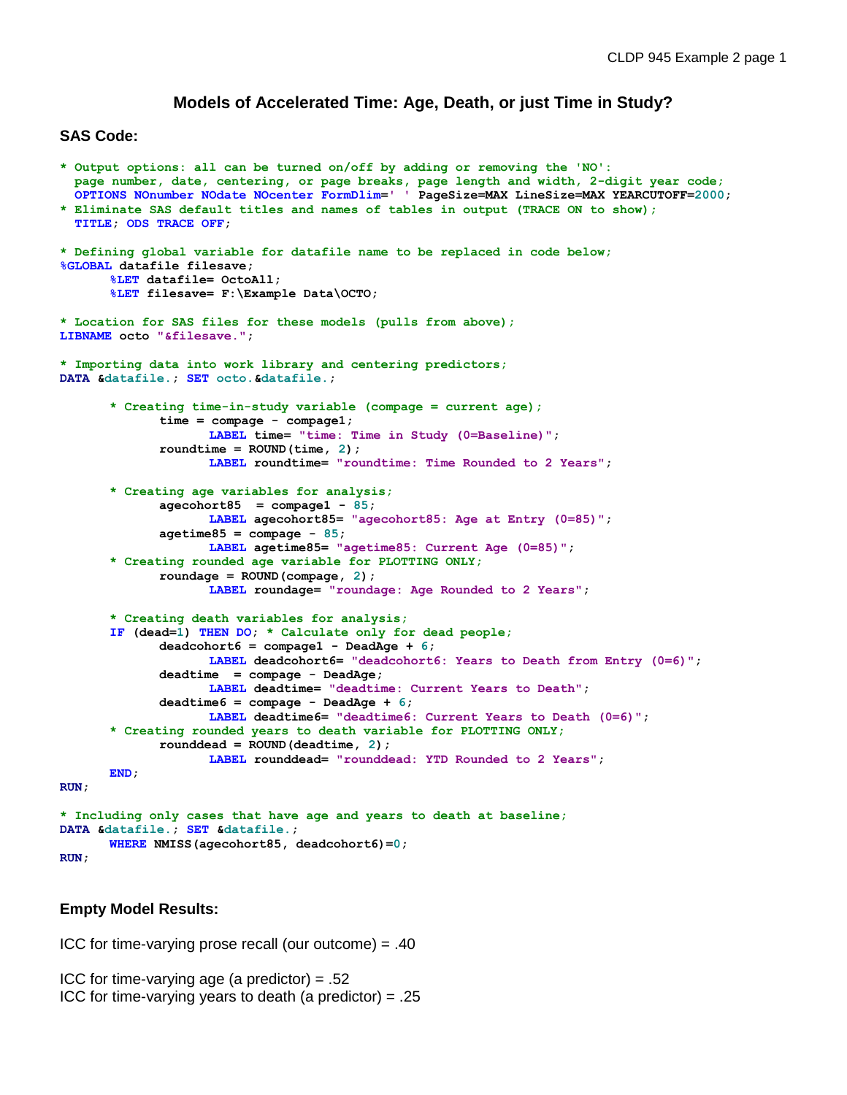# **Models of Accelerated Time: Age, Death, or just Time in Study?**

## **SAS Code:**

```
* Output options: all can be turned on/off by adding or removing the 'NO':
   page number, date, centering, or page breaks, page length and width, 2-digit year code;
   OPTIONS NOnumber NOdate NOcenter FormDlim=' ' PageSize=MAX LineSize=MAX YEARCUTOFF=2000;
* Eliminate SAS default titles and names of tables in output (TRACE ON to show);
   TITLE; ODS TRACE OFF;
* Defining global variable for datafile name to be replaced in code below;
%GLOBAL datafile filesave; 
      %LET datafile= OctoAll; 
      %LET filesave= F:\Example Data\OCTO;
* Location for SAS files for these models (pulls from above);
LIBNAME octo "&filesave.";
* Importing data into work library and centering predictors;
DATA &datafile.; SET octo.&datafile.;
       * Creating time-in-study variable (compage = current age);
             time = compage - compage1; 
                    LABEL time= "time: Time in Study (0=Baseline)";
             roundtime = ROUND(time, 2); 
                    LABEL roundtime= "roundtime: Time Rounded to 2 Years";
      * Creating age variables for analysis;
             agecohort85 = compage1 - 85; 
                    LABEL agecohort85= "agecohort85: Age at Entry (0=85)";
             agetime85 = compage - 85; 
                    LABEL agetime85= "agetime85: Current Age (0=85)";
      * Creating rounded age variable for PLOTTING ONLY;
             roundage = ROUND(compage, 2); 
                    LABEL roundage= "roundage: Age Rounded to 2 Years";
      * Creating death variables for analysis;
      IF (dead=1) THEN DO; * Calculate only for dead people;
             deadcohort6 = compage1 - DeadAge + 6; 
                    LABEL deadcohort6= "deadcohort6: Years to Death from Entry (0=6)";
             deadtime = compage - DeadAge; 
                    LABEL deadtime= "deadtime: Current Years to Death";
             deadtime6 = compage - DeadAge + 6; 
                    LABEL deadtime6= "deadtime6: Current Years to Death (0=6)";
      * Creating rounded years to death variable for PLOTTING ONLY;
             rounddead = ROUND(deadtime, 2); 
                    LABEL rounddead= "rounddead: YTD Rounded to 2 Years";
      END;
RUN;
* Including only cases that have age and years to death at baseline;
DATA &datafile.; SET &datafile.;
      WHERE NMISS(agecohort85, deadcohort6)=0;
RUN;
```
### **Empty Model Results:**

ICC for time-varying prose recall (our outcome) = .40

ICC for time-varying age (a predictor) = .52 ICC for time-varying years to death (a predictor) =  $.25$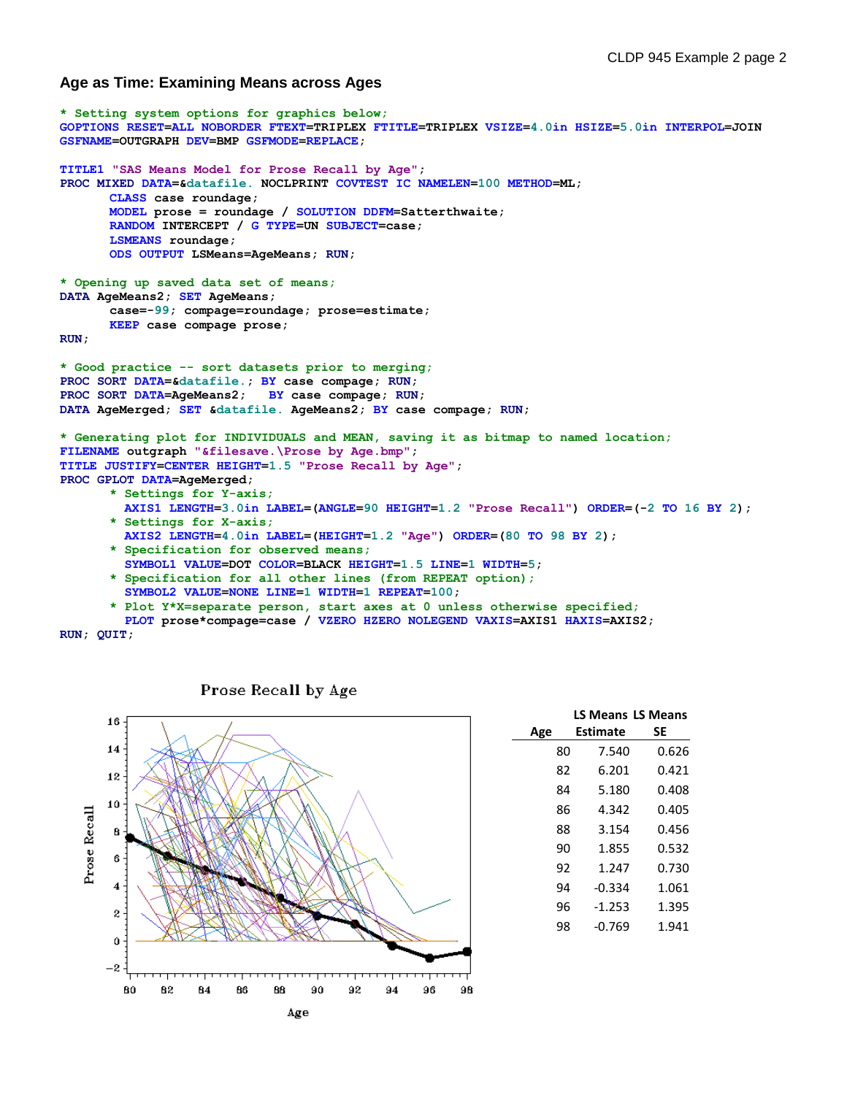## **Age as Time: Examining Means across Ages**

```
* Setting system options for graphics below;
GOPTIONS RESET=ALL NOBORDER FTEXT=TRIPLEX FTITLE=TRIPLEX VSIZE=4.0in HSIZE=5.0in INTERPOL=JOIN 
GSFNAME=OUTGRAPH DEV=BMP GSFMODE=REPLACE;
TITLE1 "SAS Means Model for Prose Recall by Age";
PROC MIXED DATA=&datafile. NOCLPRINT COVTEST IC NAMELEN=100 METHOD=ML;
      CLASS case roundage;
      MODEL prose = roundage / SOLUTION DDFM=Satterthwaite;
      RANDOM INTERCEPT / G TYPE=UN SUBJECT=case; 
      LSMEANS roundage; 
      ODS OUTPUT LSMeans=AgeMeans; RUN;
* Opening up saved data set of means;
DATA AgeMeans2; SET AgeMeans;
      case=-99; compage=roundage; prose=estimate;
      KEEP case compage prose; 
RUN;
* Good practice -- sort datasets prior to merging;
PROC SORT DATA=&datafile.; BY case compage; RUN;
PROC SORT DATA=AgeMeans2; BY case compage; RUN;
DATA AgeMerged; SET &datafile. AgeMeans2; BY case compage; RUN;
* Generating plot for INDIVIDUALS and MEAN, saving it as bitmap to named location;
FILENAME outgraph "&filesave.\Prose by Age.bmp"; 
TITLE JUSTIFY=CENTER HEIGHT=1.5 "Prose Recall by Age"; 
PROC GPLOT DATA=AgeMerged; 
       * Settings for Y-axis;
         AXIS1 LENGTH=3.0in LABEL=(ANGLE=90 HEIGHT=1.2 "Prose Recall") ORDER=(-2 TO 16 BY 2);
      * Settings for X-axis;
         AXIS2 LENGTH=4.0in LABEL=(HEIGHT=1.2 "Age") ORDER=(80 TO 98 BY 2);
      * Specification for observed means;
         SYMBOL1 VALUE=DOT COLOR=BLACK HEIGHT=1.5 LINE=1 WIDTH=5;
       * Specification for all other lines (from REPEAT option);
         SYMBOL2 VALUE=NONE LINE=1 WIDTH=1 REPEAT=100;
       * Plot Y*X=separate person, start axes at 0 unless otherwise specified;
```
 **PLOT prose\*compage=case / VZERO HZERO NOLEGEND VAXIS=AXIS1 HAXIS=AXIS2;** 

**RUN; QUIT;**



|     | <b>LS Means LS Means</b> |       |
|-----|--------------------------|-------|
| Age | Estimate                 | SE    |
| 80  | 7.540                    | 0.626 |
| 82  | 6.201                    | 0.421 |
| 84  | 5.180                    | 0.408 |
| 86  | 4.342                    | 0.405 |
| 88  | 3.154                    | 0.456 |
| 90  | 1.855                    | 0.532 |
| 92  | 1.247                    | 0.730 |
| 94  | $-0.334$                 | 1.061 |
| 96  | $-1.253$                 | 1.395 |
| 98  | -0.769                   | 1.941 |

### Prose Recall by Age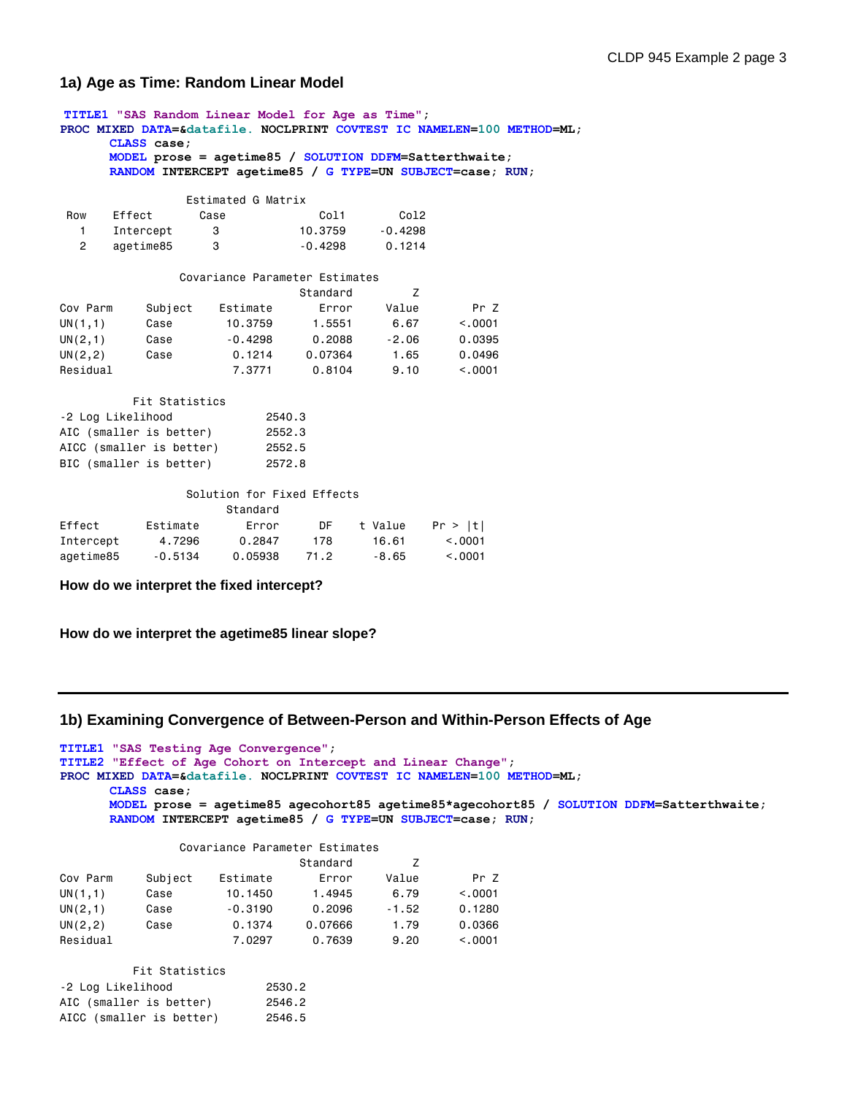# **1a) Age as Time: Random Linear Model**

**TITLE1 "SAS Random Linear Model for Age as Time"; PROC MIXED DATA=&datafile. NOCLPRINT COVTEST IC NAMELEN=100 METHOD=ML; CLASS case; MODEL prose = agetime85 / SOLUTION DDFM=Satterthwaite; RANDOM INTERCEPT agetime85 / G TYPE=UN SUBJECT=case; RUN;** Estimated G Matrix Row Effect Case Col1 Col2 1 Intercept 3 10.3759 -0.4298 2 agetime85 3 -0.4298 0.1214 Covariance Parameter Estimates Standard Z Cov Parm Subject Estimate Error Value Pr Z UN(1,1) Case 10.3759 1.5551 6.67 <.0001 UN(2,1) Case -0.4298 0.2088 -2.06 0.0395 UN(2,2) Case 0.1214 0.07364 1.65 0.0496 Residual 7.3771 0.8104 9.10 <.0001 Fit Statistics -2 Log Likelihood 2540.3 AIC (smaller is better) 2552.3 AICC (smaller is better) 2552.5 BIC (smaller is better) 2572.8 Solution for Fixed Effects Standard Effect Estimate Error DF t Value Pr > |t| Intercept 4.7296 0.2847 178 16.61 <.0001

agetime85 -0.5134 0.05938 71.2 -8.65 <.0001

**How do we interpret the fixed intercept?**

**How do we interpret the agetime85 linear slope?**

### **1b) Examining Convergence of Between-Person and Within-Person Effects of Age**

**TITLE1 "SAS Testing Age Convergence"; TITLE2 "Effect of Age Cohort on Intercept and Linear Change"; PROC MIXED DATA=&datafile. NOCLPRINT COVTEST IC NAMELEN=100 METHOD=ML; CLASS case; MODEL prose = agetime85 agecohort85 agetime85\*agecohort85 / SOLUTION DDFM=Satterthwaite; RANDOM INTERCEPT agetime85 / G TYPE=UN SUBJECT=case; RUN;**

#### Covariance Parameter Estimates

|          |         |           | Standard |         |         |
|----------|---------|-----------|----------|---------|---------|
| Cov Parm | Subject | Estimate  | Error    | Value   | Pr 7    |
| UN(1,1)  | Case    | 10.1450   | 1.4945   | 6.79    | < 0.001 |
| UN(2,1)  | Case    | $-0.3190$ | 0.2096   | $-1.52$ | 0.1280  |
| UN(2, 2) | Case    | 0.1374    | 0.07666  | 1.79    | 0.0366  |
| Residual |         | 7.0297    | 0.7639   | 9.20    | < 0.001 |

| Fit Statistics           |        |
|--------------------------|--------|
| -2 Log Likelihood        | 2530.2 |
| AIC (smaller is better)  | 2546.2 |
| AICC (smaller is better) | 2546.5 |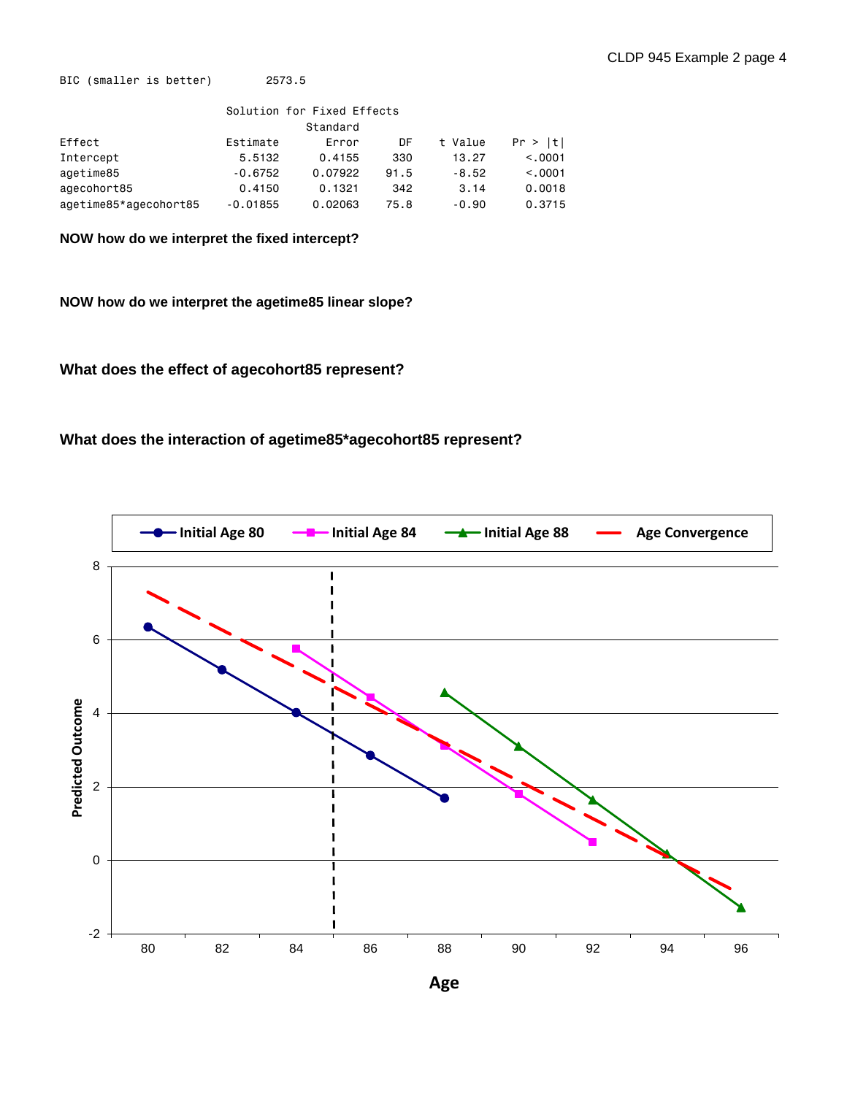BIC (smaller is better) 2573.5

| Solution for Fixed Effects |            |         |      |         |         |  |  |
|----------------------------|------------|---------|------|---------|---------|--|--|
|                            | Standard   |         |      |         |         |  |  |
| Effect                     | Estimate   | Error   | DF   | t Value | Pr >  t |  |  |
| Intercept                  | 5.5132     | 0.4155  | 330  | 13.27   | < 0.001 |  |  |
| agetime85                  | $-0.6752$  | 0.07922 | 91.5 | $-8.52$ | < 0.001 |  |  |
| agecohort85                | 0.4150     | 0.1321  | 342  | 3.14    | 0.0018  |  |  |
| agetime85*agecohort85      | $-0.01855$ | 0.02063 | 75.8 | $-0.90$ | 0.3715  |  |  |

**NOW how do we interpret the fixed intercept?**

**NOW how do we interpret the agetime85 linear slope?**

**What does the effect of agecohort85 represent?**

**What does the interaction of agetime85\*agecohort85 represent?**



**Age**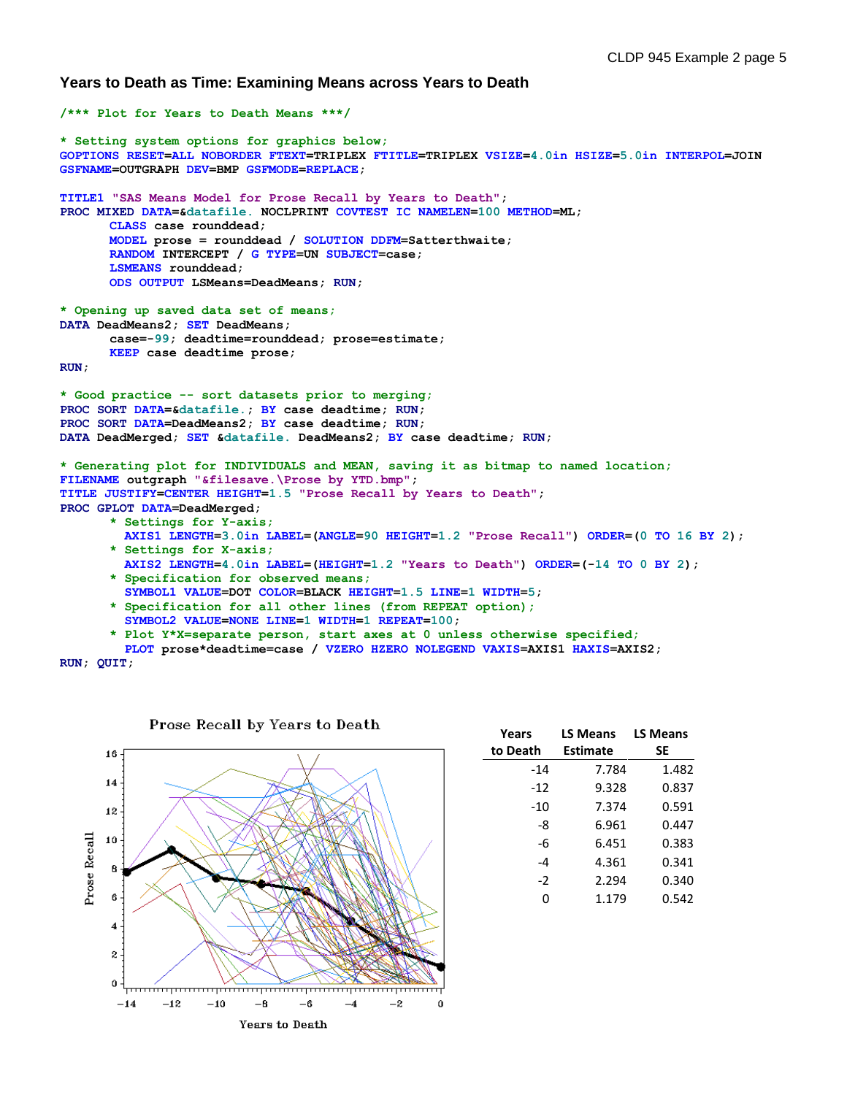**Years to Death as Time: Examining Means across Years to Death**

```
/*** Plot for Years to Death Means ***/
* Setting system options for graphics below;
GOPTIONS RESET=ALL NOBORDER FTEXT=TRIPLEX FTITLE=TRIPLEX VSIZE=4.0in HSIZE=5.0in INTERPOL=JOIN 
GSFNAME=OUTGRAPH DEV=BMP GSFMODE=REPLACE;
TITLE1 "SAS Means Model for Prose Recall by Years to Death";
PROC MIXED DATA=&datafile. NOCLPRINT COVTEST IC NAMELEN=100 METHOD=ML;
      CLASS case rounddead;
      MODEL prose = rounddead / SOLUTION DDFM=Satterthwaite;
      RANDOM INTERCEPT / G TYPE=UN SUBJECT=case; 
      LSMEANS rounddead; 
      ODS OUTPUT LSMeans=DeadMeans; RUN;
* Opening up saved data set of means;
DATA DeadMeans2; SET DeadMeans;
      case=-99; deadtime=rounddead; prose=estimate;
      KEEP case deadtime prose; 
RUN;
* Good practice -- sort datasets prior to merging;
PROC SORT DATA=&datafile.; BY case deadtime; RUN;
PROC SORT DATA=DeadMeans2; BY case deadtime; RUN;
DATA DeadMerged; SET &datafile. DeadMeans2; BY case deadtime; RUN;
* Generating plot for INDIVIDUALS and MEAN, saving it as bitmap to named location;
FILENAME outgraph "&filesave.\Prose by YTD.bmp"; 
TITLE JUSTIFY=CENTER HEIGHT=1.5 "Prose Recall by Years to Death"; 
PROC GPLOT DATA=DeadMerged; 
       * Settings for Y-axis;
         AXIS1 LENGTH=3.0in LABEL=(ANGLE=90 HEIGHT=1.2 "Prose Recall") ORDER=(0 TO 16 BY 2);
      * Settings for X-axis;
         AXIS2 LENGTH=4.0in LABEL=(HEIGHT=1.2 "Years to Death") ORDER=(-14 TO 0 BY 2);
      * Specification for observed means;
         SYMBOL1 VALUE=DOT COLOR=BLACK HEIGHT=1.5 LINE=1 WIDTH=5;
       * Specification for all other lines (from REPEAT option);
         SYMBOL2 VALUE=NONE LINE=1 WIDTH=1 REPEAT=100;
       * Plot Y*X=separate person, start axes at 0 unless otherwise specified;
```

```
 PLOT prose*deadtime=case / VZERO HZERO NOLEGEND VAXIS=AXIS1 HAXIS=AXIS2;
```
**RUN; QUIT;**



| Years<br>to Death | <b>LS Means</b><br>Estimate | <b>LS Means</b><br>SΕ |
|-------------------|-----------------------------|-----------------------|
| $-14$             | 7.784                       | 1.482                 |
| -12               | 9.328                       | 0.837                 |
| -10               | 7.374                       | 0.591                 |
| -8                | 6.961                       | 0.447                 |
| -6                | 6.451                       | 0.383                 |
| -4                | 4.361                       | 0.341                 |
| -2                | 2.294                       | 0.340                 |
| O                 | 1.179                       | 0.542                 |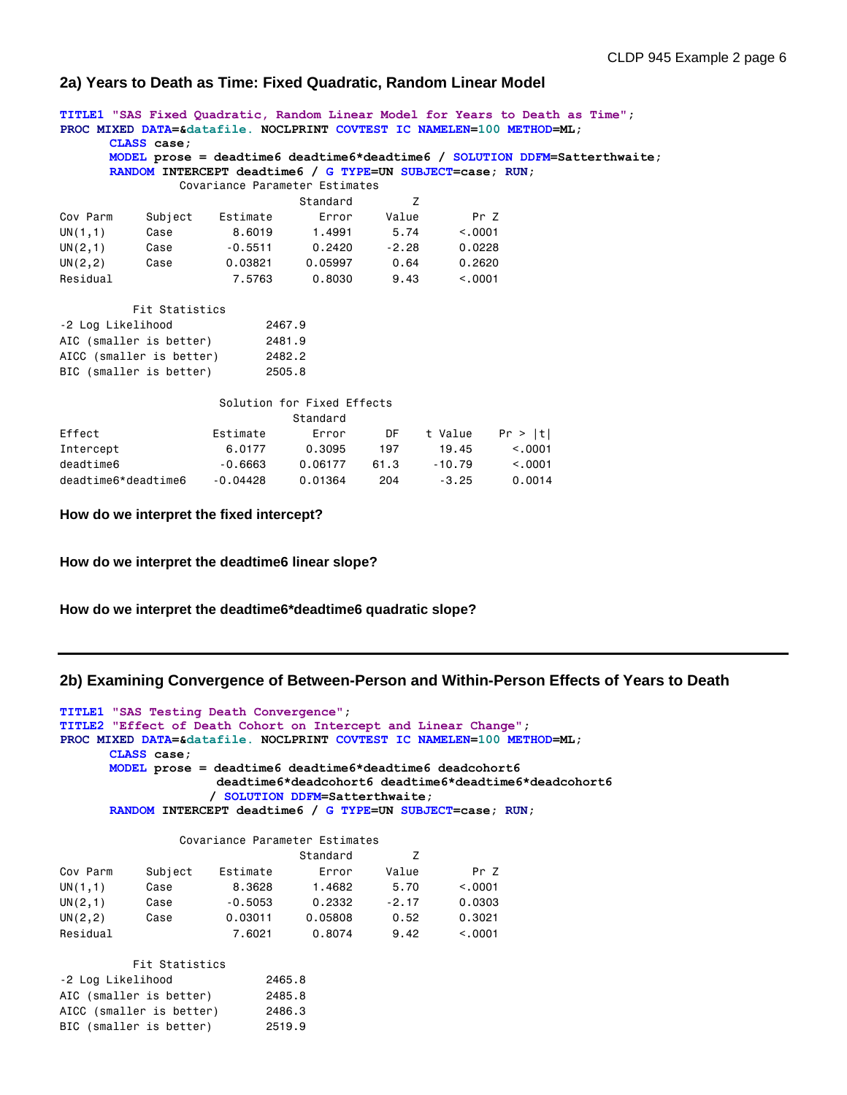# **2a) Years to Death as Time: Fixed Quadratic, Random Linear Model**

**TITLE1 "SAS Fixed Quadratic, Random Linear Model for Years to Death as Time"; PROC MIXED DATA=&datafile. NOCLPRINT COVTEST IC NAMELEN=100 METHOD=ML; CLASS case; MODEL prose = deadtime6 deadtime6\*deadtime6 / SOLUTION DDFM=Satterthwaite; RANDOM INTERCEPT deadtime6 / G TYPE=UN SUBJECT=case; RUN;** Covariance Parameter Estimates Standard Z Cov Parm Subject Estimate Error Value Pr Z UN(1,1) Case 8.6019 1.4991 5.74 <.0001 UN(2,1) Case -0.5511 0.2420 -2.28 0.0228 UN(2,2) Case 0.03821 0.05997 0.64 0.2620 Residual 7.5763 0.8030 9.43 <.0001 Fit Statistics -2 Log Likelihood 2467.9 AIC (smaller is better) 2481.9 AICC (smaller is better) 2482.2 BIC (smaller is better) 2505.8 Solution for Fixed Effects Standard Effect **Extimate** Error DF t Value Pr > |t| Intercept 6.0177 0.3095 197 19.45 <.0001 deadtime6 -0.6663 0.06177 61.3 -10.79 <.0001 deadtime6\*deadtime6 -0.04428 0.01364 204 -3.25 0.0014

**How do we interpret the fixed intercept?**

**How do we interpret the deadtime6 linear slope?**

**How do we interpret the deadtime6\*deadtime6 quadratic slope?**

## **2b) Examining Convergence of Between-Person and Within-Person Effects of Years to Death**

```
TITLE1 "SAS Testing Death Convergence";
TITLE2 "Effect of Death Cohort on Intercept and Linear Change";
PROC MIXED DATA=&datafile. NOCLPRINT COVTEST IC NAMELEN=100 METHOD=ML;
      CLASS case;
      MODEL prose = deadtime6 deadtime6*deadtime6 deadcohort6
                     deadtime6*deadcohort6 deadtime6*deadtime6*deadcohort6
                    / SOLUTION DDFM=Satterthwaite;
      RANDOM INTERCEPT deadtime6 / G TYPE=UN SUBJECT=case; RUN;
                 Covariance Parameter Estimates
```

|          |         |           | Standard |         |         |
|----------|---------|-----------|----------|---------|---------|
| Cov Parm | Subject | Estimate  | Error    | Value   | Pr 7    |
| UN(1,1)  | Case    | 8.3628    | 1.4682   | 5.70    | < 0.001 |
| UN(2,1)  | Case    | $-0.5053$ | 0.2332   | $-2.17$ | 0.0303  |
| UN(2, 2) | Case    | 0.03011   | 0.05808  | 0.52    | 0.3021  |
| Residual |         | 7.6021    | 0.8074   | 9.42    | < 0.001 |

| Fit Statistics           |        |
|--------------------------|--------|
| -2 Log Likelihood        | 2465.8 |
| AIC (smaller is better)  | 2485.8 |
| AICC (smaller is better) | 2486.3 |
| BIC (smaller is better)  | 2519.9 |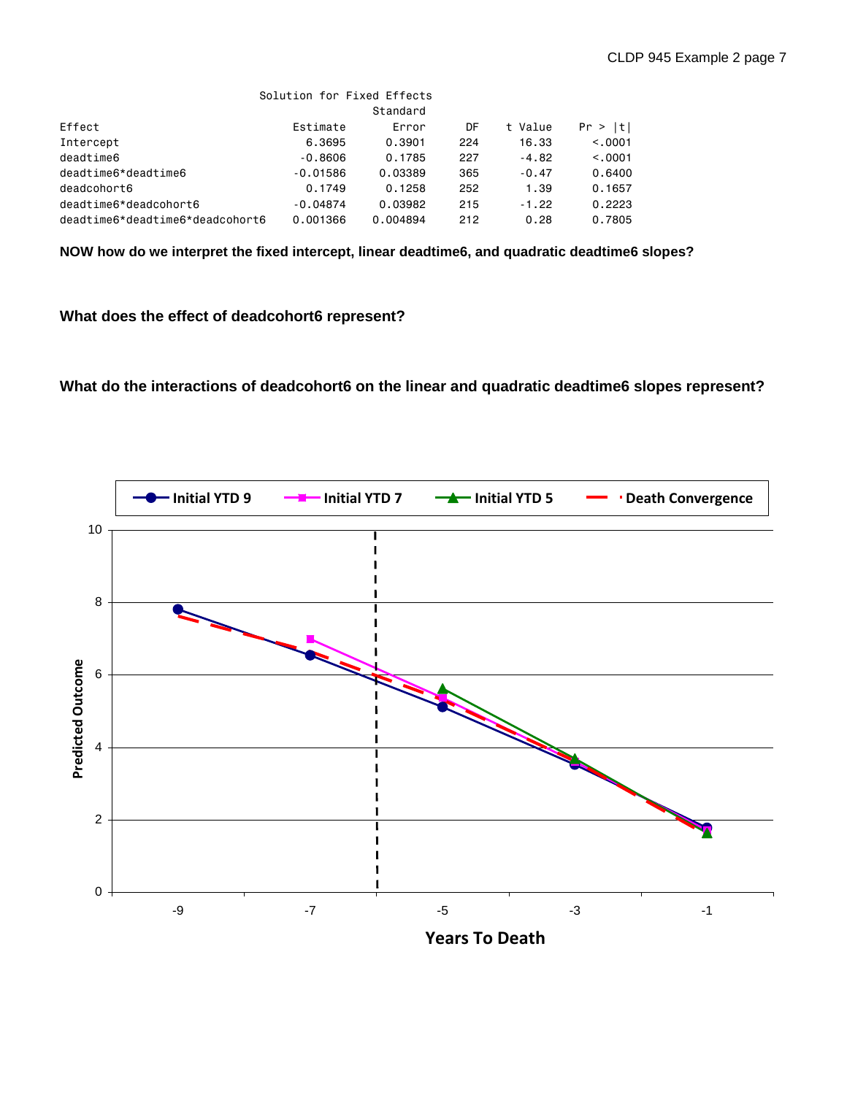|                                 | Solution for Fixed Effects |          |     |         |          |
|---------------------------------|----------------------------|----------|-----|---------|----------|
|                                 |                            | Standard |     |         |          |
| Effect                          | Estimate                   | Error    | DF  | t Value | Pr >  t  |
| Intercept                       | 6,3695                     | 0.3901   | 224 | 16.33   | < 0.0001 |
| deadtime6                       | $-0.8606$                  | 0.1785   | 227 | $-4.82$ | < 0.0001 |
| deadtime6*deadtime6             | $-0.01586$                 | 0.03389  | 365 | $-0.47$ | 0.6400   |
| deadcohort6                     | 0.1749                     | 0.1258   | 252 | 1.39    | 0.1657   |
| deadtime6*deadcohort6           | $-0.04874$                 | 0.03982  | 215 | $-1.22$ | 0.2223   |
| deadtime6*deadtime6*deadcohort6 | 0.001366                   | 0.004894 | 212 | 0.28    | 0.7805   |

**NOW how do we interpret the fixed intercept, linear deadtime6, and quadratic deadtime6 slopes?**

# **What does the effect of deadcohort6 represent?**

**What do the interactions of deadcohort6 on the linear and quadratic deadtime6 slopes represent?**

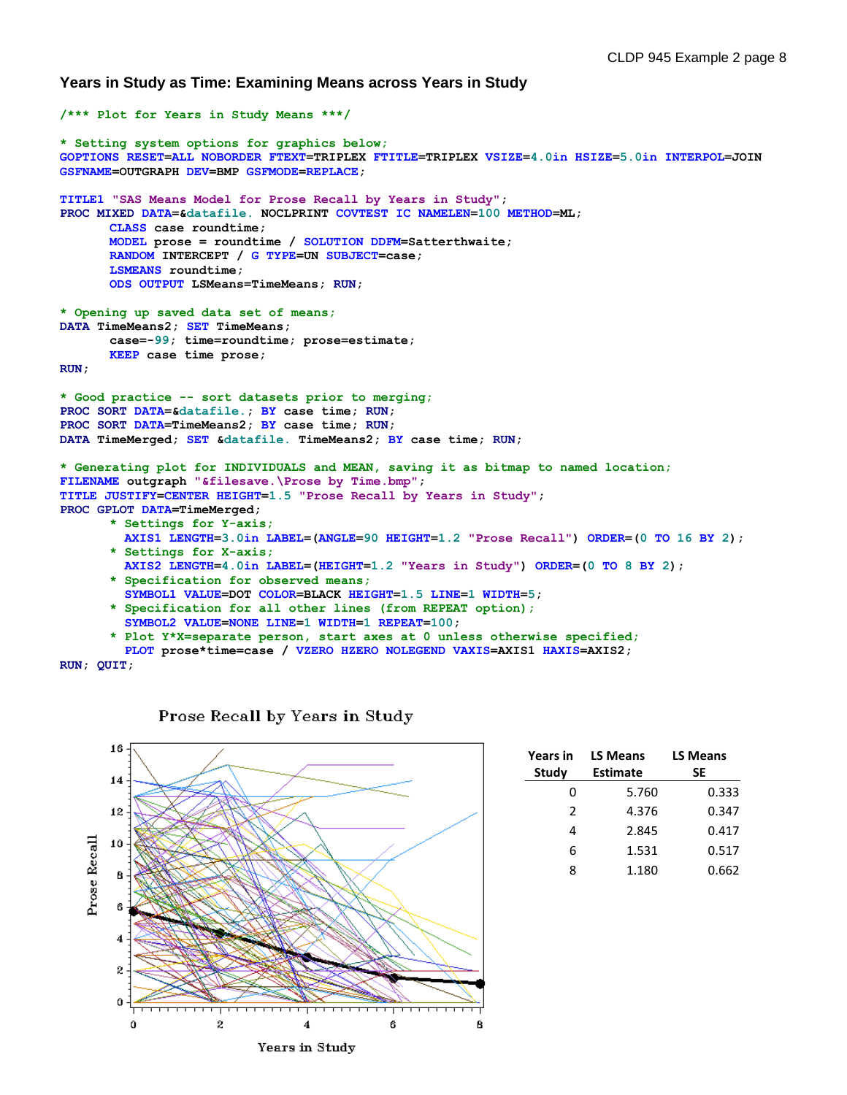**Years in Study as Time: Examining Means across Years in Study**

```
/*** Plot for Years in Study Means ***/
* Setting system options for graphics below;
GOPTIONS RESET=ALL NOBORDER FTEXT=TRIPLEX FTITLE=TRIPLEX VSIZE=4.0in HSIZE=5.0in INTERPOL=JOIN 
GSFNAME=OUTGRAPH DEV=BMP GSFMODE=REPLACE;
TITLE1 "SAS Means Model for Prose Recall by Years in Study";
PROC MIXED DATA=&datafile. NOCLPRINT COVTEST IC NAMELEN=100 METHOD=ML;
      CLASS case roundtime;
      MODEL prose = roundtime / SOLUTION DDFM=Satterthwaite;
      RANDOM INTERCEPT / G TYPE=UN SUBJECT=case; 
      LSMEANS roundtime; 
      ODS OUTPUT LSMeans=TimeMeans; RUN;
* Opening up saved data set of means;
DATA TimeMeans2; SET TimeMeans;
      case=-99; time=roundtime; prose=estimate;
      KEEP case time prose; 
RUN;
* Good practice -- sort datasets prior to merging;
PROC SORT DATA=&datafile.; BY case time; RUN;
PROC SORT DATA=TimeMeans2; BY case time; RUN;
DATA TimeMerged; SET &datafile. TimeMeans2; BY case time; RUN;
* Generating plot for INDIVIDUALS and MEAN, saving it as bitmap to named location;
FILENAME outgraph "&filesave.\Prose by Time.bmp"; 
TITLE JUSTIFY=CENTER HEIGHT=1.5 "Prose Recall by Years in Study"; 
PROC GPLOT DATA=TimeMerged; 
      * Settings for Y-axis;
         AXIS1 LENGTH=3.0in LABEL=(ANGLE=90 HEIGHT=1.2 "Prose Recall") ORDER=(0 TO 16 BY 2);
      * Settings for X-axis;
         AXIS2 LENGTH=4.0in LABEL=(HEIGHT=1.2 "Years in Study") ORDER=(0 TO 8 BY 2);
      * Specification for observed means;
         SYMBOL1 VALUE=DOT COLOR=BLACK HEIGHT=1.5 LINE=1 WIDTH=5;
      * Specification for all other lines (from REPEAT option);
         SYMBOL2 VALUE=NONE LINE=1 WIDTH=1 REPEAT=100;
       * Plot Y*X=separate person, start axes at 0 unless otherwise specified;
         PLOT prose*time=case / VZERO HZERO NOLEGEND VAXIS=AXIS1 HAXIS=AXIS2;
```

```
RUN; QUIT;
```


| Prose Recall by Years in Study |  |  |  |  |  |
|--------------------------------|--|--|--|--|--|
|--------------------------------|--|--|--|--|--|

| <b>Years in</b> | <b>LS Means</b> | <b>LS Means</b> |
|-----------------|-----------------|-----------------|
| <b>Study</b>    | <b>Estimate</b> | SE              |
| n               | 5.760           | 0.333           |
| $\mathcal{P}$   | 4.376           | 0.347           |
| 4               | 2.845           | 0.417           |
| 6               | 1.531           | 0.517           |
| 8               | 1.180           | 0.662           |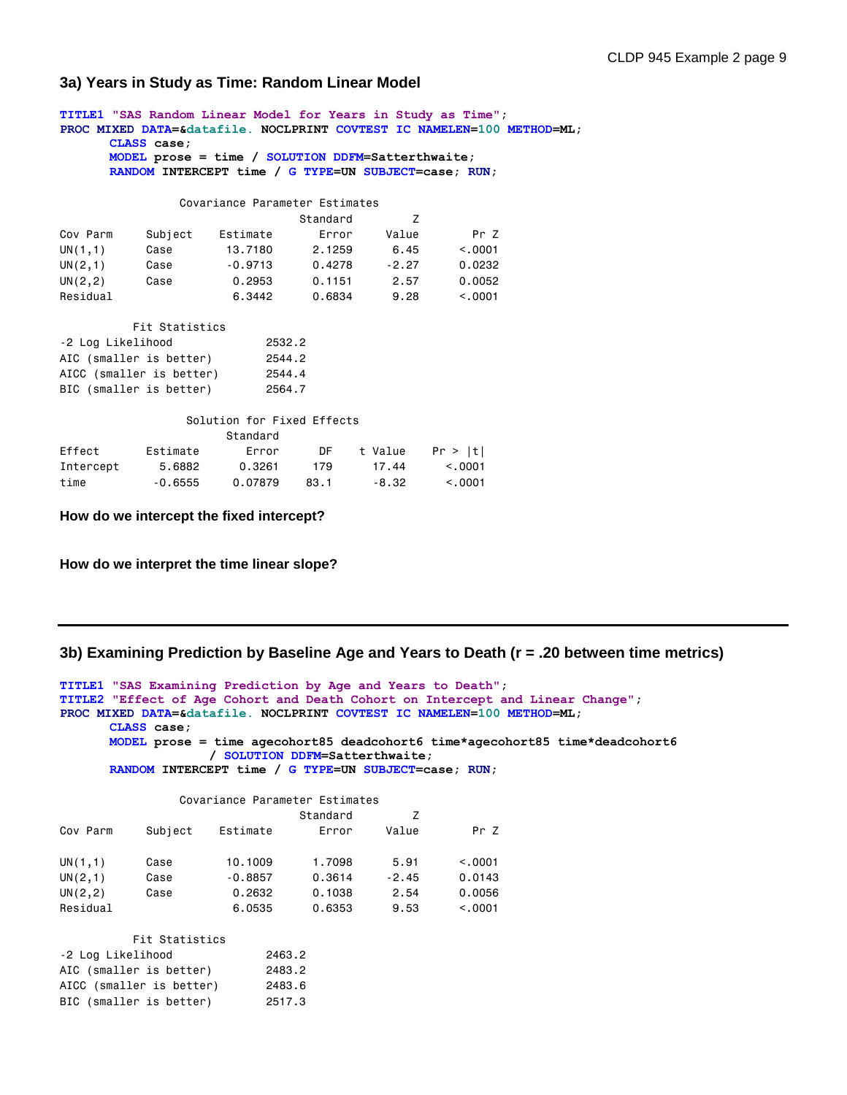## **3a) Years in Study as Time: Random Linear Model**

**TITLE1 "SAS Random Linear Model for Years in Study as Time"; PROC MIXED DATA=&datafile. NOCLPRINT COVTEST IC NAMELEN=100 METHOD=ML; CLASS case; MODEL prose = time / SOLUTION DDFM=Satterthwaite; RANDOM INTERCEPT time / G TYPE=UN SUBJECT=case; RUN;** Covariance Parameter Estimates Standard Z Cov Parm Subject Estimate Error Value Pr Z UN(1,1) Case 13.7180 2.1259 6.45 <.0001 UN(2,1) Case -0.9713 0.4278 -2.27 0.0232 UN(2,2) Case 0.2953 0.1151 2.57 0.0052 Residual 6.3442 0.6834 9.28 <.0001 Fit Statistics -2 Log Likelihood 2532.2 AIC (smaller is better) 2544.2 AICC (smaller is better) 2544.4 BIC (smaller is better) 2564.7 Solution for Fixed Effects Standard Effect Estimate Error DF t Value Pr > |t| Intercept 5.6882 0.3261 179 17.44 <.0001

**How do we intercept the fixed intercept?**

**How do we interpret the time linear slope?**

### **3b) Examining Prediction by Baseline Age and Years to Death (r = .20 between time metrics)**

```
TITLE1 "SAS Examining Prediction by Age and Years to Death";
TITLE2 "Effect of Age Cohort and Death Cohort on Intercept and Linear Change";
PROC MIXED DATA=&datafile. NOCLPRINT COVTEST IC NAMELEN=100 METHOD=ML;
      CLASS case;
      MODEL prose = time agecohort85 deadcohort6 time*agecohort85 time*deadcohort6
                    / SOLUTION DDFM=Satterthwaite;
      RANDOM INTERCEPT time / G TYPE=UN SUBJECT=case; RUN;
                 Covariance Parameter Estimates
```

|          |         |           | Standard |         |          |
|----------|---------|-----------|----------|---------|----------|
| Cov Parm | Subject | Estimate  | Error    | Value   | Pr Z     |
| UN(1,1)  | Case    | 10,1009   | 1.7098   | 5.91    | < 0.0001 |
| UN(2,1)  | Case    | $-0.8857$ | 0.3614   | $-2.45$ | 0.0143   |
| UN(2, 2) | Case    | 0.2632    | 0.1038   | 2.54    | 0.0056   |
| Residual |         | 6.0535    | 0.6353   | 9.53    | < 0.001  |

time -0.6555 0.07879 83.1 -8.32 <.0001

| Fit Statistics           |        |
|--------------------------|--------|
| -2 Log Likelihood        | 2463.2 |
| AIC (smaller is better)  | 2483.2 |
| AICC (smaller is better) | 2483.6 |
| BIC (smaller is better)  | 2517.3 |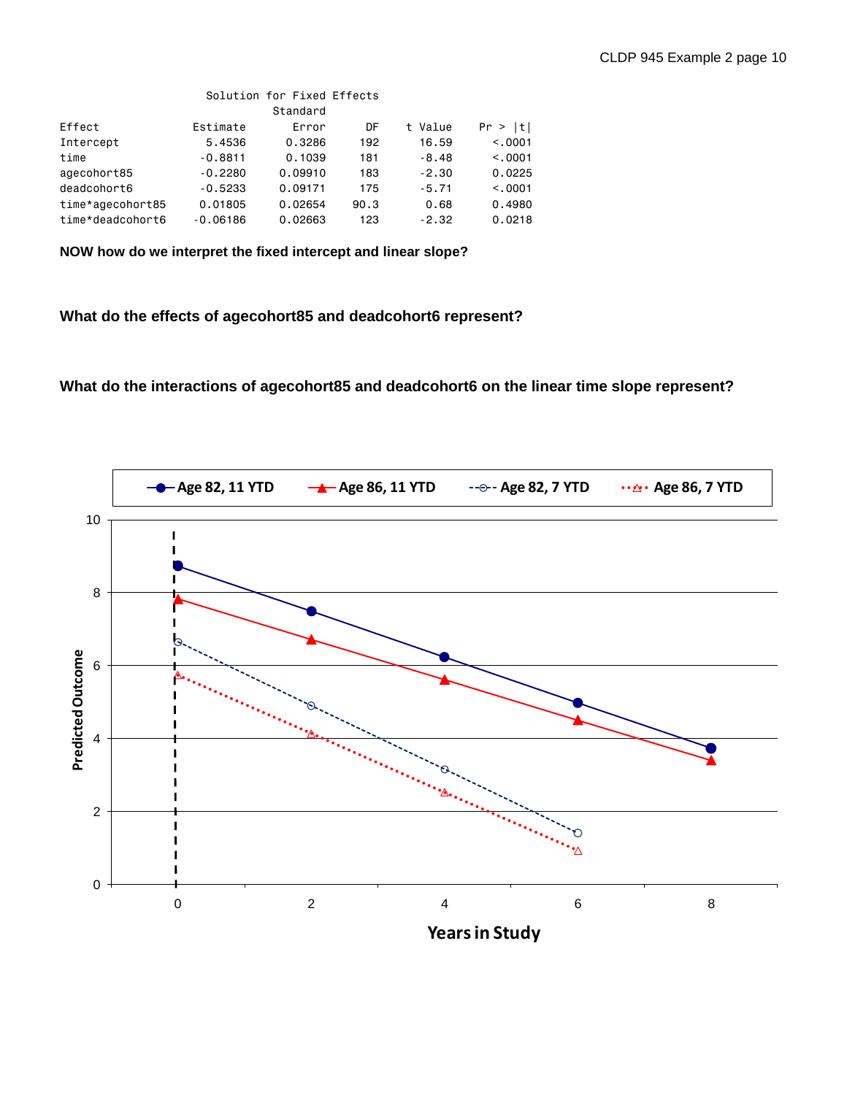|                  |            | Solution for Fixed Effects |      |             |         |
|------------------|------------|----------------------------|------|-------------|---------|
|                  |            | Standard                   |      |             |         |
| Effect           | Estimate   | Error                      | DF   | Value<br>t. | Pr >  t |
| Intercept        | 5.4536     | 0.3286                     | 192  | 16.59       | < 0.001 |
| time             | $-0.8811$  | 0.1039                     | 181  | $-8.48$     | < 0.001 |
| agecohort85      | $-0.2280$  | 0.09910                    | 183  | $-2.30$     | 0.0225  |
| deadcohort6      | $-0.5233$  | 0.09171                    | 175  | $-5.71$     | < 0.001 |
| time*agecohort85 | 0.01805    | 0.02654                    | 90.3 | 0.68        | 0.4980  |
| time*deadcohort6 | $-0.06186$ | 0.02663                    | 123  | $-2.32$     | 0.0218  |

**NOW how do we interpret the fixed intercept and linear slope?**

**What do the effects of agecohort85 and deadcohort6 represent?**

**What do the interactions of agecohort85 and deadcohort6 on the linear time slope represent?**

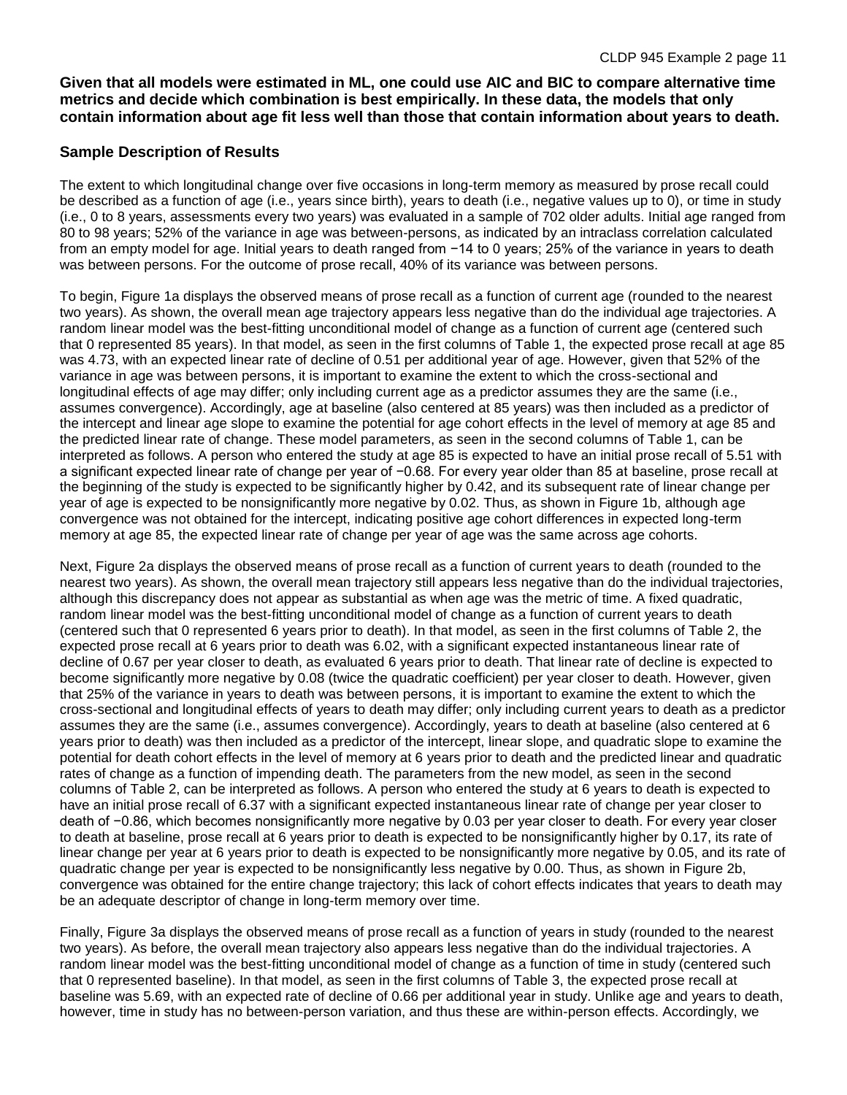**Given that all models were estimated in ML, one could use AIC and BIC to compare alternative time metrics and decide which combination is best empirically. In these data, the models that only contain information about age fit less well than those that contain information about years to death.**

# **Sample Description of Results**

The extent to which longitudinal change over five occasions in long-term memory as measured by prose recall could be described as a function of age (i.e., years since birth), years to death (i.e., negative values up to 0), or time in study (i.e., 0 to 8 years, assessments every two years) was evaluated in a sample of 702 older adults. Initial age ranged from 80 to 98 years; 52% of the variance in age was between-persons, as indicated by an intraclass correlation calculated from an empty model for age. Initial years to death ranged from −14 to 0 years; 25% of the variance in years to death was between persons. For the outcome of prose recall, 40% of its variance was between persons.

To begin, Figure 1a displays the observed means of prose recall as a function of current age (rounded to the nearest two years). As shown, the overall mean age trajectory appears less negative than do the individual age trajectories. A random linear model was the best-fitting unconditional model of change as a function of current age (centered such that 0 represented 85 years). In that model, as seen in the first columns of Table 1, the expected prose recall at age 85 was 4.73, with an expected linear rate of decline of 0.51 per additional year of age. However, given that 52% of the variance in age was between persons, it is important to examine the extent to which the cross-sectional and longitudinal effects of age may differ; only including current age as a predictor assumes they are the same (i.e., assumes convergence). Accordingly, age at baseline (also centered at 85 years) was then included as a predictor of the intercept and linear age slope to examine the potential for age cohort effects in the level of memory at age 85 and the predicted linear rate of change. These model parameters, as seen in the second columns of Table 1, can be interpreted as follows. A person who entered the study at age 85 is expected to have an initial prose recall of 5.51 with a significant expected linear rate of change per year of −0.68. For every year older than 85 at baseline, prose recall at the beginning of the study is expected to be significantly higher by 0.42, and its subsequent rate of linear change per year of age is expected to be nonsignificantly more negative by 0.02. Thus, as shown in Figure 1b, although age convergence was not obtained for the intercept, indicating positive age cohort differences in expected long-term memory at age 85, the expected linear rate of change per year of age was the same across age cohorts.

Next, Figure 2a displays the observed means of prose recall as a function of current years to death (rounded to the nearest two years). As shown, the overall mean trajectory still appears less negative than do the individual trajectories, although this discrepancy does not appear as substantial as when age was the metric of time. A fixed quadratic, random linear model was the best-fitting unconditional model of change as a function of current years to death (centered such that 0 represented 6 years prior to death). In that model, as seen in the first columns of Table 2, the expected prose recall at 6 years prior to death was 6.02, with a significant expected instantaneous linear rate of decline of 0.67 per year closer to death, as evaluated 6 years prior to death. That linear rate of decline is expected to become significantly more negative by 0.08 (twice the quadratic coefficient) per year closer to death. However, given that 25% of the variance in years to death was between persons, it is important to examine the extent to which the cross-sectional and longitudinal effects of years to death may differ; only including current years to death as a predictor assumes they are the same (i.e., assumes convergence). Accordingly, years to death at baseline (also centered at 6 years prior to death) was then included as a predictor of the intercept, linear slope, and quadratic slope to examine the potential for death cohort effects in the level of memory at 6 years prior to death and the predicted linear and quadratic rates of change as a function of impending death. The parameters from the new model, as seen in the second columns of Table 2, can be interpreted as follows. A person who entered the study at 6 years to death is expected to have an initial prose recall of 6.37 with a significant expected instantaneous linear rate of change per year closer to death of −0.86, which becomes nonsignificantly more negative by 0.03 per year closer to death. For every year closer to death at baseline, prose recall at 6 years prior to death is expected to be nonsignificantly higher by 0.17, its rate of linear change per year at 6 years prior to death is expected to be nonsignificantly more negative by 0.05, and its rate of quadratic change per year is expected to be nonsignificantly less negative by 0.00. Thus, as shown in Figure 2b, convergence was obtained for the entire change trajectory; this lack of cohort effects indicates that years to death may be an adequate descriptor of change in long-term memory over time.

Finally, Figure 3a displays the observed means of prose recall as a function of years in study (rounded to the nearest two years). As before, the overall mean trajectory also appears less negative than do the individual trajectories. A random linear model was the best-fitting unconditional model of change as a function of time in study (centered such that 0 represented baseline). In that model, as seen in the first columns of Table 3, the expected prose recall at baseline was 5.69, with an expected rate of decline of 0.66 per additional year in study. Unlike age and years to death, however, time in study has no between-person variation, and thus these are within-person effects. Accordingly, we